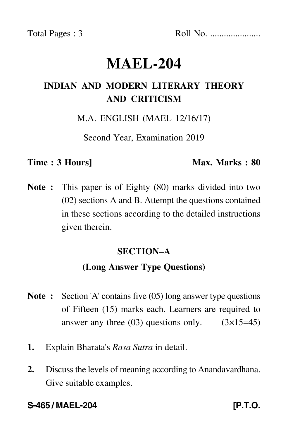Total Pages : 3 Roll No. ......................

# **MAEL-204**

# **INDIAN AND MODERN LITERARY THEORY AND CRITICISM**

M.A. ENGLISH (MAEL 12/16/17)

Second Year, Examination 2019

#### **Time : 3 Hours]** Max. Marks : 80

**Note :** This paper is of Eighty (80) marks divided into two (02) sections A and B. Attempt the questions contained in these sections according to the detailed instructions given therein.

### **SECTION–A**

# **(Long Answer Type Questions)**

- **Note :** Section 'A' contains five (05) long answer type questions of Fifteen (15) marks each. Learners are required to answer any three  $(03)$  questions only.  $(3\times15=45)$
- **1.** Explain Bharata's *Rasa Sutra* in detail.
- **2.** Discuss the levels of meaning according to Anandavardhana. Give suitable examples.

### **S-465 / MAEL-204 [P.T.O.**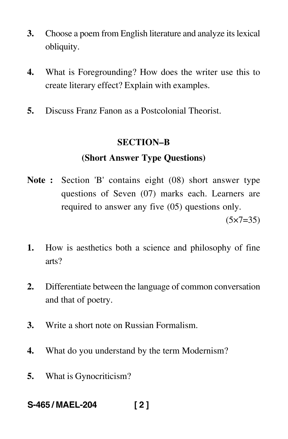- **3.** Choose a poem from English literature and analyze its lexical obliquity.
- **4.** What is Foregrounding? How does the writer use this to create literary effect? Explain with examples.
- **5.** Discuss Franz Fanon as a Postcolonial Theorist.

#### **SECTION–B**

# **(Short Answer Type Questions)**

- **Note :** Section 'B' contains eight (08) short answer type questions of Seven (07) marks each. Learners are required to answer any five (05) questions only.  $(5 \times 7 = 35)$
- **1.** How is aesthetics both a science and philosophy of fine arts?
- **2.** Differentiate between the language of common conversation and that of poetry.
- **3.** Write a short note on Russian Formalism.
- **4.** What do you understand by the term Modernism?
- **5.** What is Gynocriticism?
- **S-465 / MAEL-204 [ 2 ]**